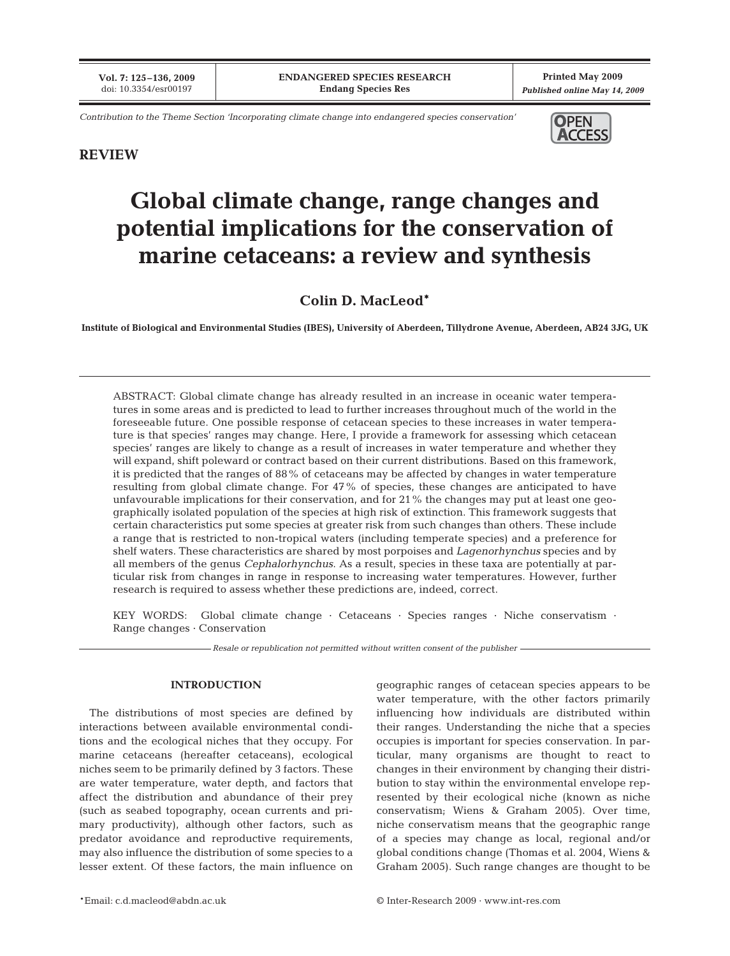**Vol. 7: 125–136, 2009** doi: 10.3354/esr00197

**Printed May 2009** *Published online May 14, 2009*

*Contribution to the Theme Section 'Incorporating climate change into endangered species conservation'* **OPEN** 



## **REVIEW**

# **Global climate change, range changes and potential implications for the conservation of marine cetaceans: a review and synthesis**

# **Colin D. MacLeod\***

**Institute of Biological and Environmental Studies (IBES), University of Aberdeen, Tillydrone Avenue, Aberdeen, AB24 3JG, UK**

ABSTRACT: Global climate change has already resulted in an increase in oceanic water temperatures in some areas and is predicted to lead to further increases throughout much of the world in the foreseeable future. One possible response of cetacean species to these increases in water temperature is that species' ranges may change. Here, I provide a framework for assessing which cetacean species' ranges are likely to change as a result of increases in water temperature and whether they will expand, shift poleward or contract based on their current distributions. Based on this framework, it is predicted that the ranges of 88% of cetaceans may be affected by changes in water temperature resulting from global climate change. For 47% of species, these changes are anticipated to have unfavourable implications for their conservation, and for 21% the changes may put at least one geographically isolated population of the species at high risk of extinction. This framework suggests that certain characteristics put some species at greater risk from such changes than others. These include a range that is restricted to non-tropical waters (including temperate species) and a preference for shelf waters. These characteristics are shared by most porpoises and *Lagenorhynchus* species and by all members of the genus *Cephalorhynchus*. As a result, species in these taxa are potentially at particular risk from changes in range in response to increasing water temperatures. However, further research is required to assess whether these predictions are, indeed, correct.

KEY WORDS: Global climate change · Cetaceans · Species ranges · Niche conservatism · Range changes · Conservation

*Resale or republication not permitted without written consent of the publisher*

## **INTRODUCTION**

The distributions of most species are defined by interactions between available environmental conditions and the ecological niches that they occupy. For marine cetaceans (hereafter cetaceans), ecological niches seem to be primarily defined by 3 factors. These are water temperature, water depth, and factors that affect the distribution and abundance of their prey (such as seabed topography, ocean currents and primary productivity), although other factors, such as predator avoidance and reproductive requirements, may also influence the distribution of some species to a lesser extent. Of these factors, the main influence on

geographic ranges of cetacean species appears to be water temperature, with the other factors primarily influencing how individuals are distributed within their ranges. Understanding the niche that a species occupies is important for species conservation. In particular, many organisms are thought to react to changes in their environment by changing their distribution to stay within the environmental envelope represented by their ecological niche (known as niche conservatism; Wiens & Graham 2005). Over time, niche conservatism means that the geographic range of a species may change as local, regional and/or global conditions change (Thomas et al. 2004, Wiens & Graham 2005). Such range changes are thought to be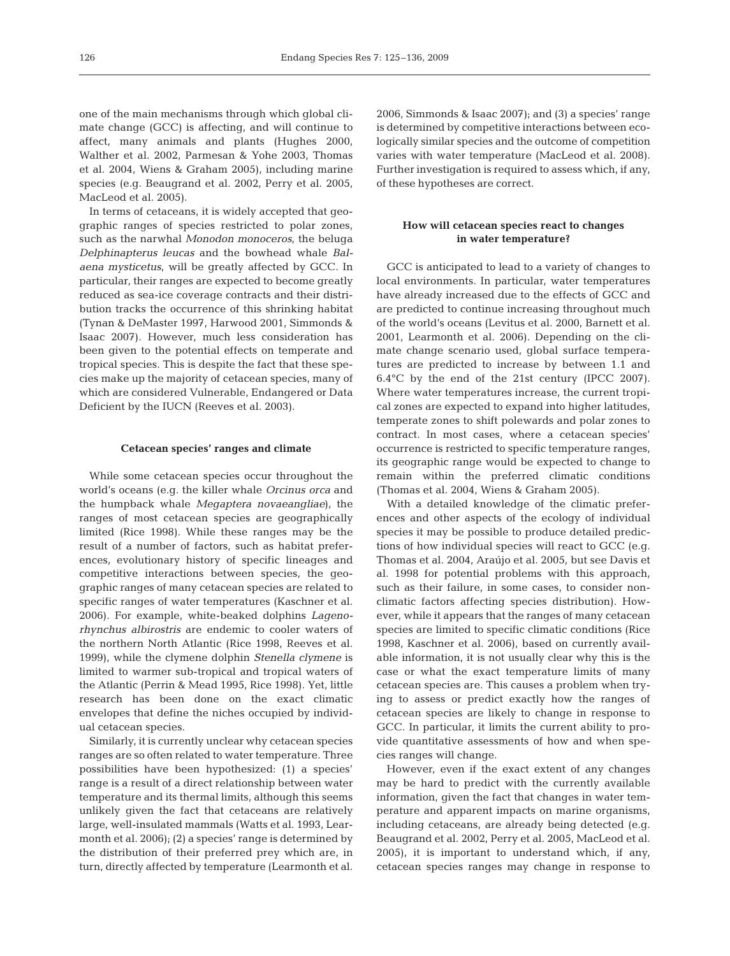one of the main mechanisms through which global climate change (GCC) is affecting, and will continue to affect, many animals and plants (Hughes 2000, Walther et al. 2002, Parmesan & Yohe 2003, Thomas et al. 2004, Wiens & Graham 2005), including marine species (e.g. Beaugrand et al. 2002, Perry et al. 2005, MacLeod et al. 2005).

In terms of cetaceans, it is widely accepted that geographic ranges of species restricted to polar zones, such as the narwhal *Monodon monoceros*, the beluga *Delphinapterus leucas* and the bowhead whale *Balaena mysticetus*, will be greatly affected by GCC. In particular, their ranges are expected to become greatly reduced as sea-ice coverage contracts and their distribution tracks the occurrence of this shrinking habitat (Tynan & DeMaster 1997, Harwood 2001, Simmonds & Isaac 2007). However, much less consideration has been given to the potential effects on temperate and tropical species. This is despite the fact that these species make up the majority of cetacean species, many of which are considered Vulnerable, Endangered or Data Deficient by the IUCN (Reeves et al. 2003).

#### **Cetacean species' ranges and climate**

While some cetacean species occur throughout the world's oceans (e.g. the killer whale *Orcinus orca* and the humpback whale *Megaptera novaeangliae*), the ranges of most cetacean species are geographically limited (Rice 1998). While these ranges may be the result of a number of factors, such as habitat preferences, evolutionary history of specific lineages and competitive interactions between species, the geographic ranges of many cetacean species are related to specific ranges of water temperatures (Kaschner et al. 2006). For example, white-beaked dolphins *Lagenorhynchus albirostris* are endemic to cooler waters of the northern North Atlantic (Rice 1998, Reeves et al. 1999), while the clymene dolphin *Stenella clymene* is limited to warmer sub-tropical and tropical waters of the Atlantic (Perrin & Mead 1995, Rice 1998). Yet, little research has been done on the exact climatic envelopes that define the niches occupied by individual cetacean species.

Similarly, it is currently unclear why cetacean species ranges are so often related to water temperature. Three possibilities have been hypothesized: (1) a species' range is a result of a direct relationship between water temperature and its thermal limits, although this seems unlikely given the fact that cetaceans are relatively large, well-insulated mammals (Watts et al. 1993, Learmonth et al. 2006); (2) a species' range is determined by the distribution of their preferred prey which are, in turn, directly affected by temperature (Learmonth et al.

2006, Simmonds & Isaac 2007); and (3) a species' range is determined by competitive interactions between ecologically similar species and the outcome of competition varies with water temperature (MacLeod et al. 2008). Further investigation is required to assess which, if any, of these hypotheses are correct.

## **How will cetacean species react to changes in water temperature?**

GCC is anticipated to lead to a variety of changes to local environments. In particular, water temperatures have already increased due to the effects of GCC and are predicted to continue increasing throughout much of the world's oceans (Levitus et al. 2000, Barnett et al. 2001, Learmonth et al. 2006). Depending on the climate change scenario used, global surface temperatures are predicted to increase by between 1.1 and 6.4°C by the end of the 21st century (IPCC 2007). Where water temperatures increase, the current tropical zones are expected to expand into higher latitudes, temperate zones to shift polewards and polar zones to contract. In most cases, where a cetacean species' occurrence is restricted to specific temperature ranges, its geographic range would be expected to change to remain within the preferred climatic conditions (Thomas et al. 2004, Wiens & Graham 2005).

With a detailed knowledge of the climatic preferences and other aspects of the ecology of individual species it may be possible to produce detailed predictions of how individual species will react to GCC (e.g. Thomas et al. 2004, Araújo et al. 2005, but see Davis et al. 1998 for potential problems with this approach, such as their failure, in some cases, to consider nonclimatic factors affecting species distribution). However, while it appears that the ranges of many cetacean species are limited to specific climatic conditions (Rice 1998, Kaschner et al. 2006), based on currently available information, it is not usually clear why this is the case or what the exact temperature limits of many cetacean species are. This causes a problem when trying to assess or predict exactly how the ranges of cetacean species are likely to change in response to GCC. In particular, it limits the current ability to provide quantitative assessments of how and when species ranges will change.

However, even if the exact extent of any changes may be hard to predict with the currently available information, given the fact that changes in water temperature and apparent impacts on marine organisms, including cetaceans, are already being detected (e.g. Beaugrand et al. 2002, Perry et al. 2005, MacLeod et al. 2005), it is important to understand which, if any, cetacean species ranges may change in response to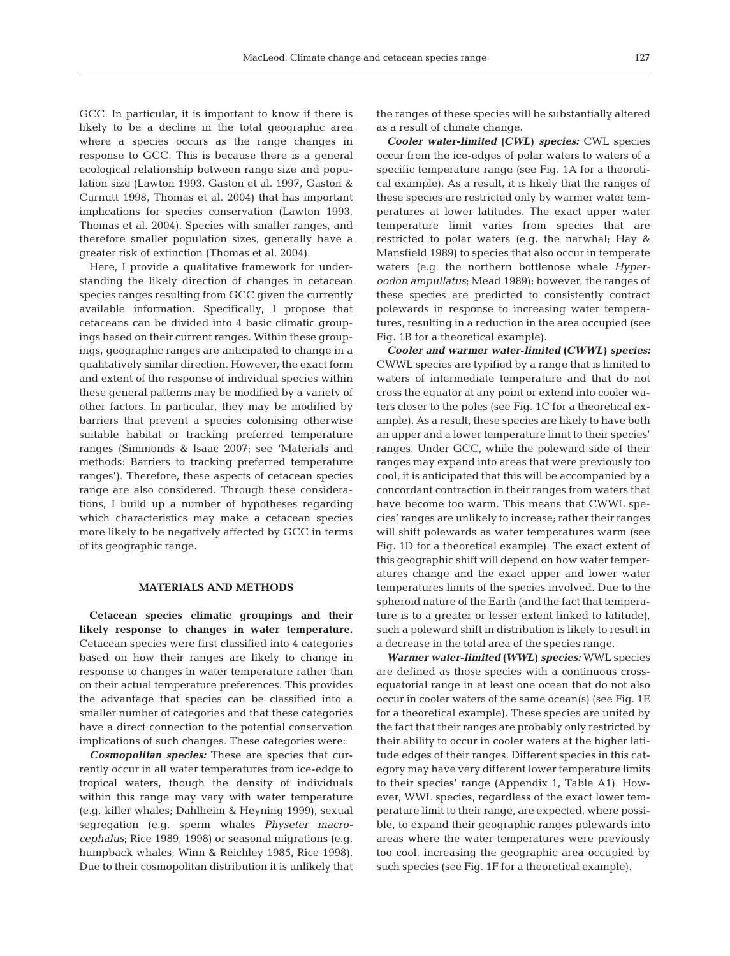GCC. In particular, it is important to know if there is likely to be a decline in the total geographic area where a species occurs as the range changes in response to GCC. This is because there is a general ecological relationship between range size and population size (Lawton 1993, Gaston et al. 1997, Gaston & Curnutt 1998, Thomas et al. 2004) that has important implications for species conservation (Lawton 1993, Thomas et al. 2004). Species with smaller ranges, and therefore smaller population sizes, generally have a greater risk of extinction (Thomas et al. 2004).

Here, I provide a qualitative framework for understanding the likely direction of changes in cetacean species ranges resulting from GCC given the currently available information. Specifically, I propose that cetaceans can be divided into 4 basic climatic groupings based on their current ranges. Within these groupings, geographic ranges are anticipated to change in a qualitatively similar direction. However, the exact form and extent of the response of individual species within these general patterns may be modified by a variety of other factors. In particular, they may be modified by barriers that prevent a species colonising otherwise suitable habitat or tracking preferred temperature ranges (Simmonds & Isaac 2007; see 'Materials and methods: Barriers to tracking preferred temperature ranges'). Therefore, these aspects of cetacean species range are also considered. Through these considerations, I build up a number of hypotheses regarding which characteristics may make a cetacean species more likely to be negatively affected by GCC in terms of its geographic range.

## **MATERIALS AND METHODS**

**Cetacean species climatic groupings and their likely response to changes in water temperature.** Cetacean species were first classified into 4 categories based on how their ranges are likely to change in response to changes in water temperature rather than on their actual temperature preferences. This provides the advantage that species can be classified into a smaller number of categories and that these categories have a direct connection to the potential conservation implications of such changes. These categories were:

*Cosmopolitan species:* These are species that currently occur in all water temperatures from ice-edge to tropical waters, though the density of individuals within this range may vary with water temperature (e.g. killer whales; Dahlheim & Heyning 1999), sexual segregation (e.g. sperm whales *Physeter macrocephalus*; Rice 1989, 1998) or seasonal migrations (e.g. humpback whales; Winn & Reichley 1985, Rice 1998). Due to their cosmopolitan distribution it is unlikely that

the ranges of these species will be substantially altered as a result of climate change.

*Cooler water-limited (CWL) species:* CWL species occur from the ice-edges of polar waters to waters of a specific temperature range (see Fig. 1A for a theoretical example). As a result, it is likely that the ranges of these species are restricted only by warmer water temperatures at lower latitudes. The exact upper water temperature limit varies from species that are restricted to polar waters (e.g. the narwhal; Hay & Mansfield 1989) to species that also occur in temperate waters (e.g. the northern bottlenose whale *Hyperoodon ampullatus*; Mead 1989); however, the ranges of these species are predicted to consistently contract polewards in response to increasing water temperatures, resulting in a reduction in the area occupied (see Fig. 1B for a theoretical example).

*Cooler and warmer water-limited (CWWL) species:* CWWL species are typified by a range that is limited to waters of intermediate temperature and that do not cross the equator at any point or extend into cooler waters closer to the poles (see Fig. 1C for a theoretical example). As a result, these species are likely to have both an upper and a lower temperature limit to their species' ranges. Under GCC, while the poleward side of their ranges may expand into areas that were previously too cool, it is anticipated that this will be accompanied by a concordant contraction in their ranges from waters that have become too warm. This means that CWWL species' ranges are unlikely to increase; rather their ranges will shift polewards as water temperatures warm (see Fig. 1D for a theoretical example). The exact extent of this geographic shift will depend on how water temperatures change and the exact upper and lower water temperatures limits of the species involved. Due to the spheroid nature of the Earth (and the fact that temperature is to a greater or lesser extent linked to latitude), such a poleward shift in distribution is likely to result in a decrease in the total area of the species range.

*Warmer water-limited (WWL) species:* WWL species are defined as those species with a continuous crossequatorial range in at least one ocean that do not also occur in cooler waters of the same ocean(s) (see Fig. 1E for a theoretical example). These species are united by the fact that their ranges are probably only restricted by their ability to occur in cooler waters at the higher latitude edges of their ranges. Different species in this category may have very different lower temperature limits to their species' range (Appendix 1, Table A1). However, WWL species, regardless of the exact lower temperature limit to their range, are expected, where possible, to expand their geographic ranges polewards into areas where the water temperatures were previously too cool, increasing the geographic area occupied by such species (see Fig. 1F for a theoretical example).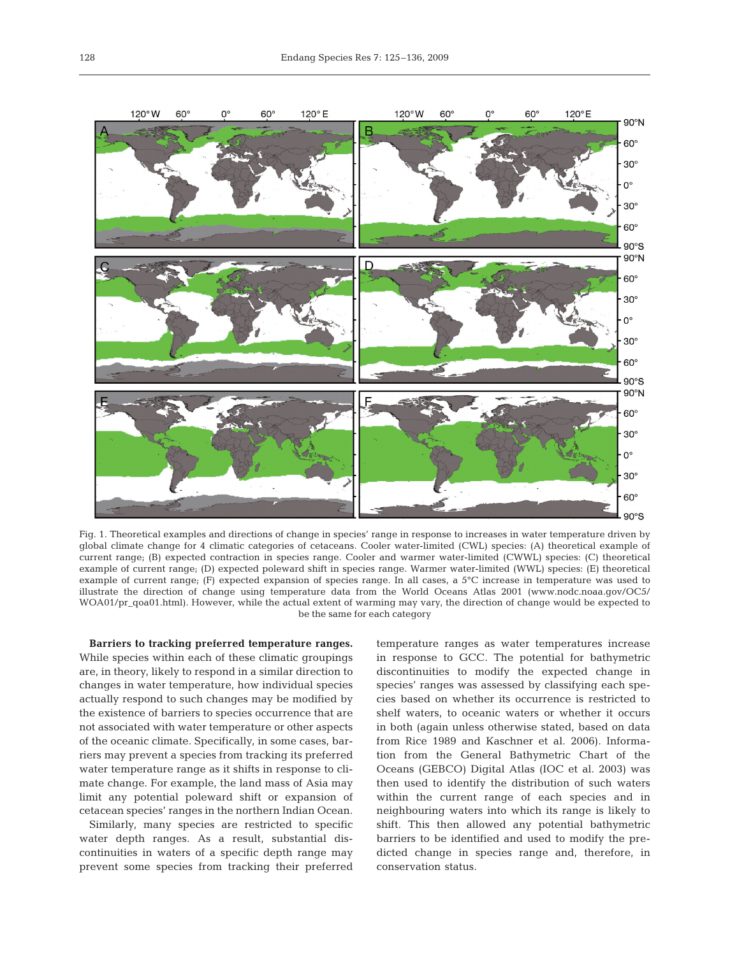

Fig. 1. Theoretical examples and directions of change in species' range in response to increases in water temperature driven by global climate change for 4 climatic categories of cetaceans. Cooler water-limited (CWL) species: (A) theoretical example of current range; (B) expected contraction in species range. Cooler and warmer water-limited (CWWL) species: (C) theoretical example of current range; (D) expected poleward shift in species range. Warmer water-limited (WWL) species: (E) theoretical example of current range; (F) expected expansion of species range. In all cases, a 5°C increase in temperature was used to illustrate the direction of change using temperature data from the World Oceans Atlas 2001 (www.nodc.noaa.gov/OC5/ WOA01/pr\_qoa01.html). However, while the actual extent of warming may vary, the direction of change would be expected to be the same for each category

**Barriers to tracking preferred temperature ranges.** While species within each of these climatic groupings are, in theory, likely to respond in a similar direction to changes in water temperature, how individual species actually respond to such changes may be modified by the existence of barriers to species occurrence that are not associated with water temperature or other aspects of the oceanic climate. Specifically, in some cases, barriers may prevent a species from tracking its preferred water temperature range as it shifts in response to climate change. For example, the land mass of Asia may limit any potential poleward shift or expansion of cetacean species' ranges in the northern Indian Ocean.

Similarly, many species are restricted to specific water depth ranges. As a result, substantial discontinuities in waters of a specific depth range may prevent some species from tracking their preferred

temperature ranges as water temperatures increase in response to GCC. The potential for bathymetric discontinuities to modify the expected change in species' ranges was assessed by classifying each species based on whether its occurrence is restricted to shelf waters, to oceanic waters or whether it occurs in both (again unless otherwise stated, based on data from Rice 1989 and Kaschner et al. 2006). Information from the General Bathymetric Chart of the Oceans (GEBCO) Digital Atlas (IOC et al. 2003) was then used to identify the distribution of such waters within the current range of each species and in neighbouring waters into which its range is likely to shift. This then allowed any potential bathymetric barriers to be identified and used to modify the predicted change in species range and, therefore, in conservation status.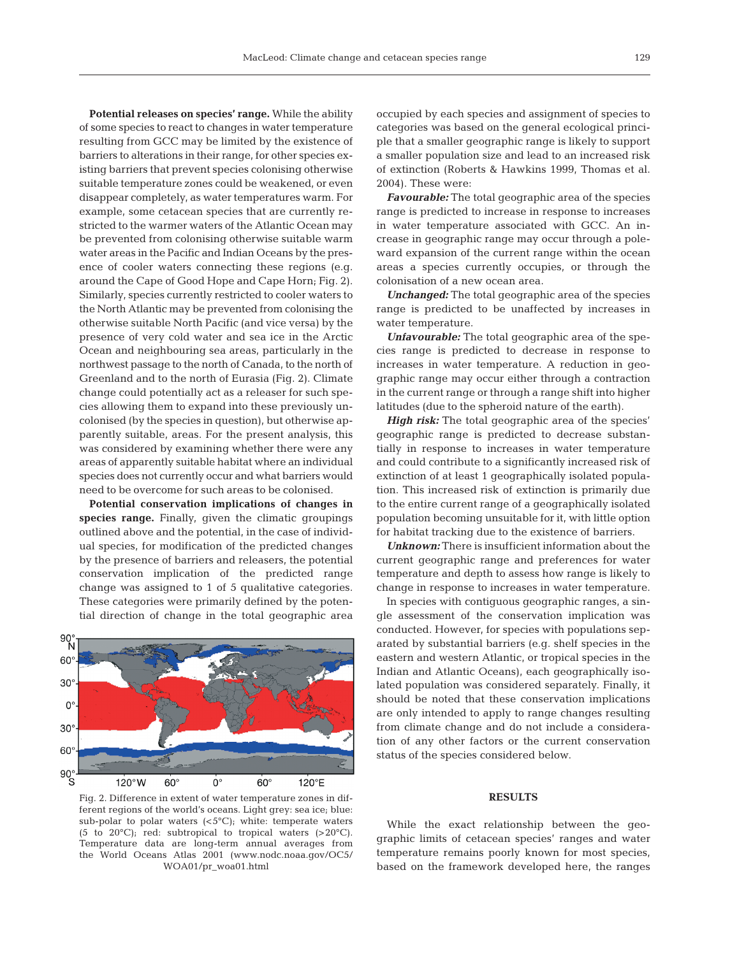**Potential releases on species' range.** While the ability of some species to react to changes in water temperature resulting from GCC may be limited by the existence of barriers to alterations in their range, for other species existing barriers that prevent species colonising otherwise suitable temperature zones could be weakened, or even disappear completely, as water temperatures warm. For example, some cetacean species that are currently restricted to the warmer waters of the Atlantic Ocean may be prevented from colonising otherwise suitable warm water areas in the Pacific and Indian Oceans by the presence of cooler waters connecting these regions (e.g. around the Cape of Good Hope and Cape Horn; Fig. 2). Similarly, species currently restricted to cooler waters to the North Atlantic may be prevented from colonising the otherwise suitable North Pacific (and vice versa) by the presence of very cold water and sea ice in the Arctic Ocean and neighbouring sea areas, particularly in the northwest passage to the north of Canada, to the north of Greenland and to the north of Eurasia (Fig. 2). Climate change could potentially act as a releaser for such species allowing them to expand into these previously uncolonised (by the species in question), but otherwise apparently suitable, areas. For the present analysis, this was considered by examining whether there were any areas of apparently suitable habitat where an individual species does not currently occur and what barriers would need to be overcome for such areas to be colonised.

**Potential conservation implications of changes in species range.** Finally, given the climatic groupings outlined above and the potential, in the case of individual species, for modification of the predicted changes by the presence of barriers and releasers, the potential conservation implication of the predicted range change was assigned to 1 of 5 qualitative categories. These categories were primarily defined by the potential direction of change in the total geographic area



Fig. 2. Difference in extent of water temperature zones in different regions of the world's oceans. Light grey: sea ice; blue: sub-polar to polar waters  $( $5^{\circ}$ C)$ ; white: temperate waters (5 to 20 $^{\circ}$ C); red: subtropical to tropical waters (>20 $^{\circ}$ C). Temperature data are long-term annual averages from the World Oceans Atlas 2001 (www.nodc.noaa.gov/OC5/ WOA01/pr\_woa01.html

occupied by each species and assignment of species to categories was based on the general ecological principle that a smaller geographic range is likely to support a smaller population size and lead to an increased risk of extinction (Roberts & Hawkins 1999, Thomas et al. 2004). These were:

*Favourable:* The total geographic area of the species range is predicted to increase in response to increases in water temperature associated with GCC. An increase in geographic range may occur through a poleward expansion of the current range within the ocean areas a species currently occupies, or through the colonisation of a new ocean area.

*Unchanged:* The total geographic area of the species range is predicted to be unaffected by increases in water temperature.

*Unfavourable:* The total geographic area of the species range is predicted to decrease in response to increases in water temperature. A reduction in geographic range may occur either through a contraction in the current range or through a range shift into higher latitudes (due to the spheroid nature of the earth).

*High risk:* The total geographic area of the species' geographic range is predicted to decrease substantially in response to increases in water temperature and could contribute to a significantly increased risk of extinction of at least 1 geographically isolated population. This increased risk of extinction is primarily due to the entire current range of a geographically isolated population becoming unsuitable for it, with little option for habitat tracking due to the existence of barriers.

*Unknown:* There is insufficient information about the current geographic range and preferences for water temperature and depth to assess how range is likely to change in response to increases in water temperature.

In species with contiguous geographic ranges, a single assessment of the conservation implication was conducted. However, for species with populations separated by substantial barriers (e.g. shelf species in the eastern and western Atlantic, or tropical species in the Indian and Atlantic Oceans), each geographically isolated population was considered separately. Finally, it should be noted that these conservation implications are only intended to apply to range changes resulting from climate change and do not include a consideration of any other factors or the current conservation status of the species considered below.

#### **RESULTS**

While the exact relationship between the geographic limits of cetacean species' ranges and water temperature remains poorly known for most species, based on the framework developed here, the ranges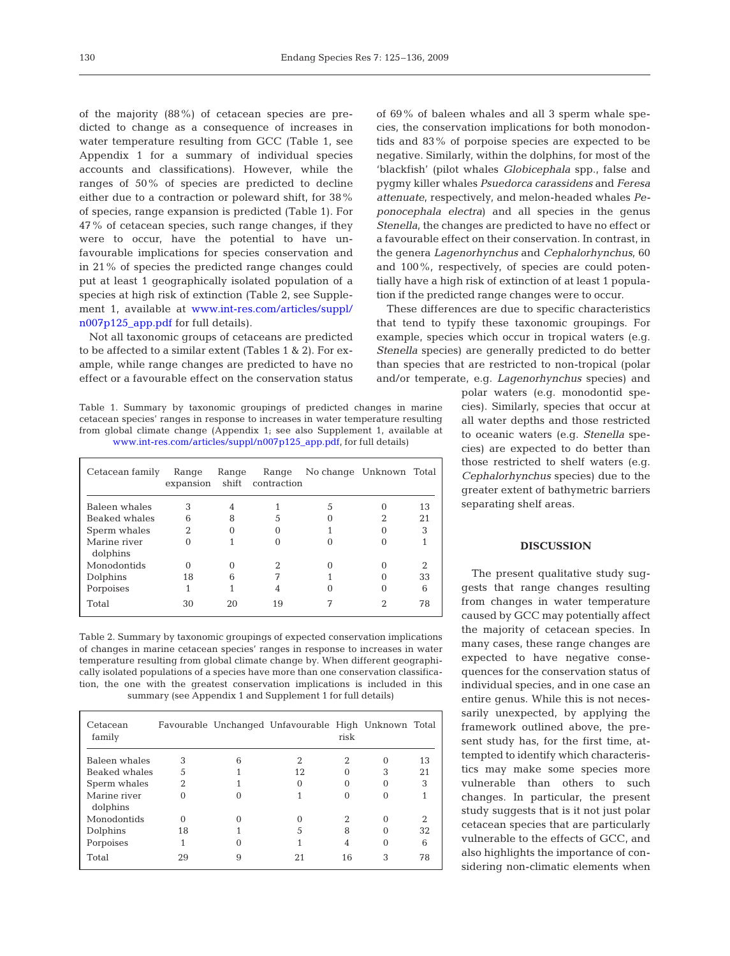of the majority (88%) of cetacean species are predicted to change as a consequence of increases in water temperature resulting from GCC (Table 1, see Appendix 1 for a summary of individual species accounts and classifications). However, while the ranges of 50% of species are predicted to decline either due to a contraction or poleward shift, for 38% of species, range expansion is predicted (Table 1). For 47% of cetacean species, such range changes, if they were to occur, have the potential to have unfavourable implications for species conservation and in 21% of species the predicted range changes could put at least 1 geographically isolated population of a species at high risk of extinction (Table 2, see Supplement 1, available at [www.int-res.com/articles/suppl/](http://www.int-res.com/articles/suppl/n007p125_app.pdf) [n007p125\\_app.pdf](http://www.int-res.com/articles/suppl/n007p125_app.pdf) for full details).

Not all taxonomic groups of cetaceans are predicted to be affected to a similar extent (Tables 1 & 2). For example, while range changes are predicted to have no effect or a favourable effect on the conservation status

Table 1. Summary by taxonomic groupings of predicted changes in marine cetacean species' ranges in response to increases in water temperature resulting from global climate change (Appendix 1; see also Supplement 1, available at [www.int-res.com/articles/suppl/n007p125\\_app.pdf,](http://www.int-res.com/articles/suppl/n007p125_app.pdf) for full details)

| Cetacean family          | Range          | Range | Range<br>expansion shift contraction | No change Unknown Total |    |
|--------------------------|----------------|-------|--------------------------------------|-------------------------|----|
| Baleen whales            | 3              |       |                                      | .5                      | 13 |
| Beaked whales            | 6              | 8     | .5                                   |                         | 21 |
| Sperm whales             | $\overline{2}$ |       |                                      |                         | 3  |
| Marine river<br>dolphins | $\Omega$       |       |                                      |                         |    |
| Monodontids              | $\Omega$       |       |                                      |                         |    |
| Dolphins                 | 18             | 6     |                                      |                         | 33 |
| Porpoises                |                |       |                                      |                         | 6  |
| Total                    | 30             | 20    | 19                                   |                         | 78 |

Table 2. Summary by taxonomic groupings of expected conservation implications of changes in marine cetacean species' ranges in response to increases in water temperature resulting from global climate change by. When different geographically isolated populations of a species have more than one conservation classification, the one with the greatest conservation implications is included in this summary (see Appendix 1 and Supplement 1 for full details)

| Cetacean<br>family       |                |   | Favourable Unchanged Unfavourable High Unknown Total | risk |   |    |
|--------------------------|----------------|---|------------------------------------------------------|------|---|----|
| Baleen whales            | 3              | 6 | 2                                                    | 2    | 0 | 13 |
| Beaked whales            | 5              |   | 12                                                   |      | 3 | 21 |
| Sperm whales             | $\mathfrak{D}$ |   | 0                                                    |      | 0 | 3  |
| Marine river<br>dolphins |                |   |                                                      |      | 0 |    |
| Monodontids              |                |   | 0                                                    | 2    | 0 |    |
| Dolphins                 | 18             |   | 5                                                    | 8    | 0 | 32 |
| Porpoises                |                |   |                                                      | 4    | 0 | 6  |
| Total                    | 29             | 9 | 21                                                   | 16   | 3 | 78 |

of 69% of baleen whales and all 3 sperm whale species, the conservation implications for both monodontids and 83% of porpoise species are expected to be negative. Similarly, within the dolphins, for most of the 'blackfish' (pilot whales *Globicephala* spp., false and pygmy killer whales *Psuedorca carassidens* and *Feresa attenuate*, respectively, and melon-headed whales *Peponocephala electra*) and all species in the genus *Stenella*, the changes are predicted to have no effect or a favourable effect on their conservation. In contrast, in the genera *Lagenorhynchus* and *Cephalorhynchus*, 60 and 100%, respectively, of species are could potentially have a high risk of extinction of at least 1 population if the predicted range changes were to occur.

These differences are due to specific characteristics that tend to typify these taxonomic groupings. For example, species which occur in tropical waters (e.g. *Stenella* species) are generally predicted to do better than species that are restricted to non-tropical (polar and/or temperate, e.g. *Lagenorhynchus* species) and

> polar waters (e.g. monodontid species). Similarly, species that occur at all water depths and those restricted to oceanic waters (e.g. *Stenella* species) are expected to do better than those restricted to shelf waters (e.g. *Cephalorhynchus* species) due to the greater extent of bathymetric barriers separating shelf areas.

#### **DISCUSSION**

The present qualitative study suggests that range changes resulting from changes in water temperature caused by GCC may potentially affect the majority of cetacean species. In many cases, these range changes are expected to have negative consequences for the conservation status of individual species, and in one case an entire genus. While this is not necessarily unexpected, by applying the framework outlined above, the present study has, for the first time, attempted to identify which characteristics may make some species more vulnerable than others to such changes. In particular, the present study suggests that is it not just polar cetacean species that are particularly vulnerable to the effects of GCC, and also highlights the importance of considering non-climatic elements when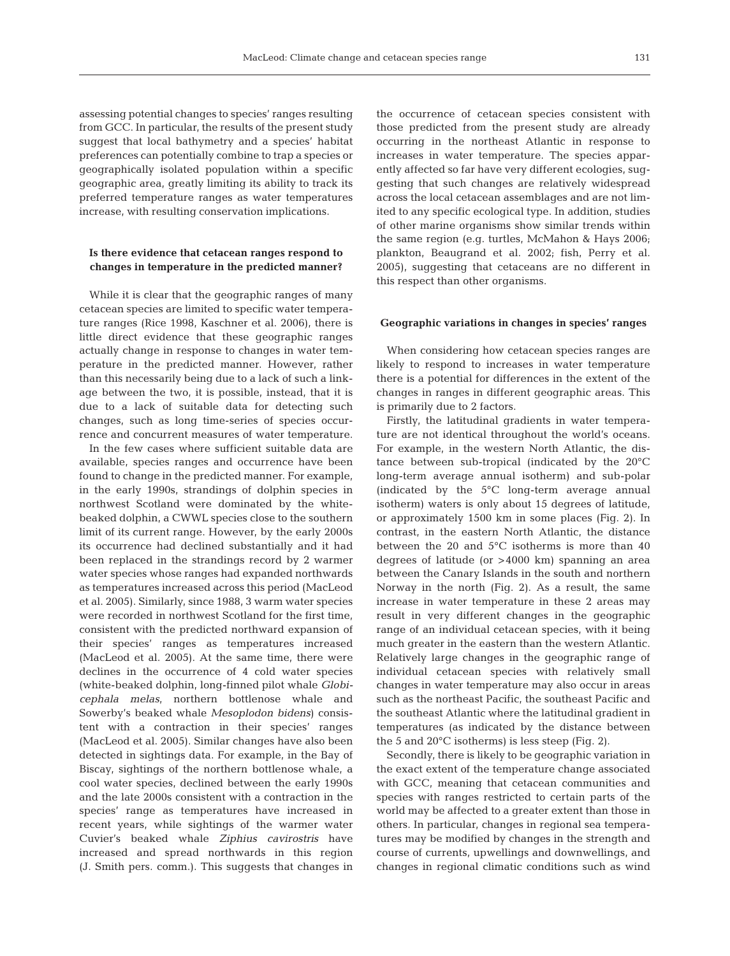assessing potential changes to species' ranges resulting from GCC. In particular, the results of the present study suggest that local bathymetry and a species' habitat preferences can potentially combine to trap a species or geographically isolated population within a specific geographic area, greatly limiting its ability to track its preferred temperature ranges as water temperatures increase, with resulting conservation implications.

## **Is there evidence that cetacean ranges respond to changes in temperature in the predicted manner?**

While it is clear that the geographic ranges of many cetacean species are limited to specific water temperature ranges (Rice 1998, Kaschner et al. 2006), there is little direct evidence that these geographic ranges actually change in response to changes in water temperature in the predicted manner. However, rather than this necessarily being due to a lack of such a linkage between the two, it is possible, instead, that it is due to a lack of suitable data for detecting such changes, such as long time-series of species occurrence and concurrent measures of water temperature.

In the few cases where sufficient suitable data are available, species ranges and occurrence have been found to change in the predicted manner. For example, in the early 1990s, strandings of dolphin species in northwest Scotland were dominated by the whitebeaked dolphin, a CWWL species close to the southern limit of its current range. However, by the early 2000s its occurrence had declined substantially and it had been replaced in the strandings record by 2 warmer water species whose ranges had expanded northwards as temperatures increased across this period (MacLeod et al. 2005). Similarly, since 1988, 3 warm water species were recorded in northwest Scotland for the first time, consistent with the predicted northward expansion of their species' ranges as temperatures increased (MacLeod et al. 2005). At the same time, there were declines in the occurrence of 4 cold water species (white-beaked dolphin, long-finned pilot whale *Globicephala melas*, northern bottlenose whale and Sowerby's beaked whale *Mesoplodon bidens*) consistent with a contraction in their species' ranges (MacLeod et al. 2005). Similar changes have also been detected in sightings data. For example, in the Bay of Biscay, sightings of the northern bottlenose whale, a cool water species, declined between the early 1990s and the late 2000s consistent with a contraction in the species' range as temperatures have increased in recent years, while sightings of the warmer water Cuvier's beaked whale *Ziphius cavirostris* have increased and spread northwards in this region (J. Smith pers. comm.). This suggests that changes in

the occurrence of cetacean species consistent with those predicted from the present study are already occurring in the northeast Atlantic in response to increases in water temperature. The species apparently affected so far have very different ecologies, suggesting that such changes are relatively widespread across the local cetacean assemblages and are not limited to any specific ecological type. In addition, studies of other marine organisms show similar trends within the same region (e.g. turtles, McMahon & Hays 2006; plankton, Beaugrand et al. 2002; fish, Perry et al. 2005), suggesting that cetaceans are no different in this respect than other organisms.

#### **Geographic variations in changes in species' ranges**

When considering how cetacean species ranges are likely to respond to increases in water temperature there is a potential for differences in the extent of the changes in ranges in different geographic areas. This is primarily due to 2 factors.

Firstly, the latitudinal gradients in water temperature are not identical throughout the world's oceans. For example, in the western North Atlantic, the distance between sub-tropical (indicated by the 20°C long-term average annual isotherm) and sub-polar (indicated by the 5°C long-term average annual isotherm) waters is only about 15 degrees of latitude, or approximately 1500 km in some places (Fig. 2). In contrast, in the eastern North Atlantic, the distance between the 20 and 5°C isotherms is more than 40 degrees of latitude (or >4000 km) spanning an area between the Canary Islands in the south and northern Norway in the north (Fig. 2). As a result, the same increase in water temperature in these 2 areas may result in very different changes in the geographic range of an individual cetacean species, with it being much greater in the eastern than the western Atlantic. Relatively large changes in the geographic range of individual cetacean species with relatively small changes in water temperature may also occur in areas such as the northeast Pacific, the southeast Pacific and the southeast Atlantic where the latitudinal gradient in temperatures (as indicated by the distance between the 5 and 20°C isotherms) is less steep (Fig. 2).

Secondly, there is likely to be geographic variation in the exact extent of the temperature change associated with GCC, meaning that cetacean communities and species with ranges restricted to certain parts of the world may be affected to a greater extent than those in others. In particular, changes in regional sea temperatures may be modified by changes in the strength and course of currents, upwellings and downwellings, and changes in regional climatic conditions such as wind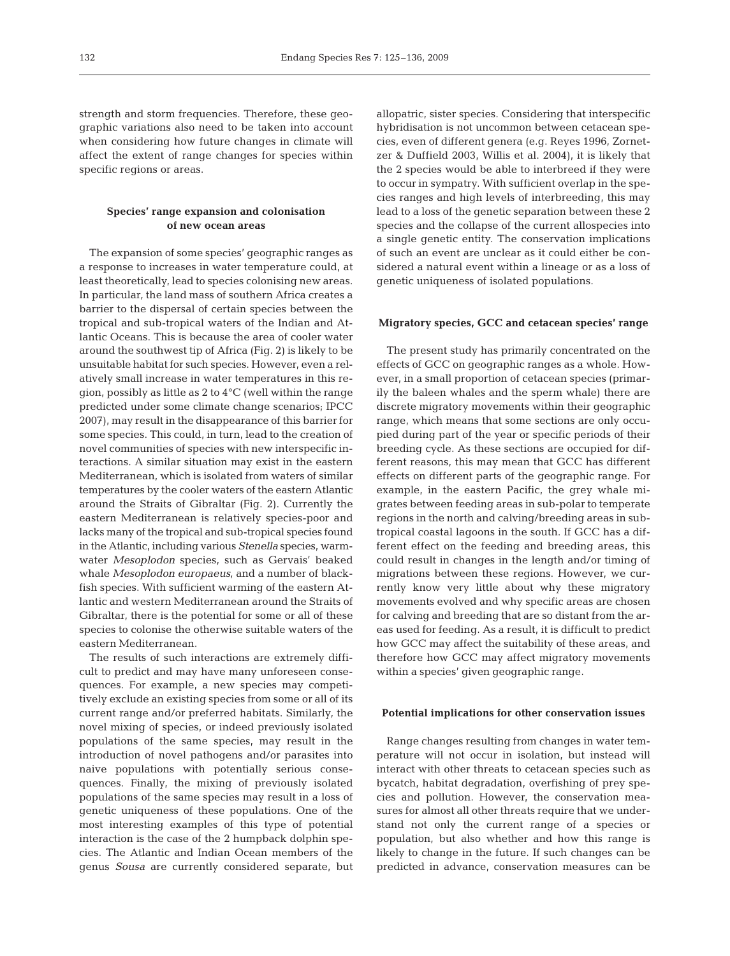strength and storm frequencies. Therefore, these geographic variations also need to be taken into account when considering how future changes in climate will affect the extent of range changes for species within specific regions or areas.

## **Species' range expansion and colonisation of new ocean areas**

The expansion of some species' geographic ranges as a response to increases in water temperature could, at least theoretically, lead to species colonising new areas. In particular, the land mass of southern Africa creates a barrier to the dispersal of certain species between the tropical and sub-tropical waters of the Indian and Atlantic Oceans. This is because the area of cooler water around the southwest tip of Africa (Fig. 2) is likely to be unsuitable habitat for such species. However, even a relatively small increase in water temperatures in this region, possibly as little as 2 to 4°C (well within the range predicted under some climate change scenarios; IPCC 2007), may result in the disappearance of this barrier for some species. This could, in turn, lead to the creation of novel communities of species with new interspecific interactions. A similar situation may exist in the eastern Mediterranean, which is isolated from waters of similar temperatures by the cooler waters of the eastern Atlantic around the Straits of Gibraltar (Fig. 2). Currently the eastern Mediterranean is relatively species-poor and lacks many of the tropical and sub-tropical species found in the Atlantic, including various *Stenella* species, warmwater *Mesoplodon* species, such as Gervais' beaked whale *Mesoplodon europaeus*, and a number of blackfish species. With sufficient warming of the eastern Atlantic and western Mediterranean around the Straits of Gibraltar, there is the potential for some or all of these species to colonise the otherwise suitable waters of the eastern Mediterranean.

The results of such interactions are extremely difficult to predict and may have many unforeseen consequences. For example, a new species may competitively exclude an existing species from some or all of its current range and/or preferred habitats. Similarly, the novel mixing of species, or indeed previously isolated populations of the same species, may result in the introduction of novel pathogens and/or parasites into naive populations with potentially serious consequences. Finally, the mixing of previously isolated populations of the same species may result in a loss of genetic uniqueness of these populations. One of the most interesting examples of this type of potential interaction is the case of the 2 humpback dolphin species. The Atlantic and Indian Ocean members of the genus *Sousa* are currently considered separate, but allopatric, sister species. Considering that interspecific hybridisation is not uncommon between cetacean species, even of different genera (e.g. Reyes 1996, Zornetzer & Duffield 2003, Willis et al. 2004), it is likely that the 2 species would be able to interbreed if they were to occur in sympatry. With sufficient overlap in the species ranges and high levels of interbreeding, this may lead to a loss of the genetic separation between these 2 species and the collapse of the current allospecies into a single genetic entity. The conservation implications of such an event are unclear as it could either be considered a natural event within a lineage or as a loss of genetic uniqueness of isolated populations.

#### **Migratory species, GCC and cetacean species' range**

The present study has primarily concentrated on the effects of GCC on geographic ranges as a whole. However, in a small proportion of cetacean species (primarily the baleen whales and the sperm whale) there are discrete migratory movements within their geographic range, which means that some sections are only occupied during part of the year or specific periods of their breeding cycle. As these sections are occupied for different reasons, this may mean that GCC has different effects on different parts of the geographic range. For example, in the eastern Pacific, the grey whale migrates between feeding areas in sub-polar to temperate regions in the north and calving/breeding areas in subtropical coastal lagoons in the south. If GCC has a different effect on the feeding and breeding areas, this could result in changes in the length and/or timing of migrations between these regions. However, we currently know very little about why these migratory movements evolved and why specific areas are chosen for calving and breeding that are so distant from the areas used for feeding. As a result, it is difficult to predict how GCC may affect the suitability of these areas, and therefore how GCC may affect migratory movements within a species' given geographic range.

#### **Potential implications for other conservation issues**

Range changes resulting from changes in water temperature will not occur in isolation, but instead will interact with other threats to cetacean species such as bycatch, habitat degradation, overfishing of prey species and pollution. However, the conservation measures for almost all other threats require that we understand not only the current range of a species or population, but also whether and how this range is likely to change in the future. If such changes can be predicted in advance, conservation measures can be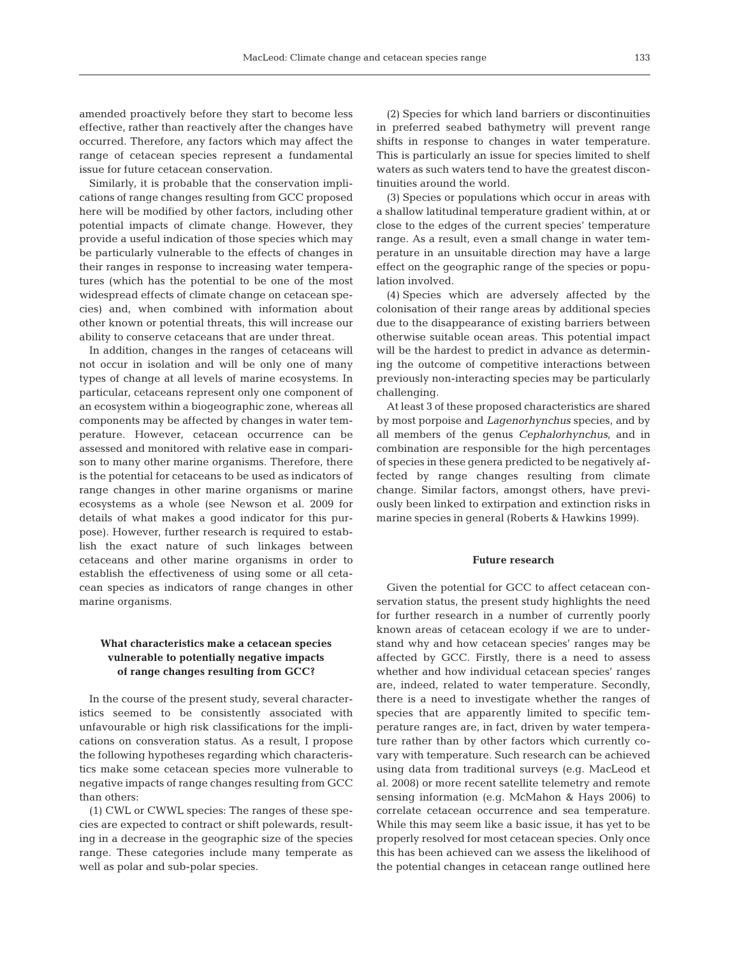amended proactively before they start to become less effective, rather than reactively after the changes have occurred. Therefore, any factors which may affect the range of cetacean species represent a fundamental issue for future cetacean conservation.

Similarly, it is probable that the conservation implications of range changes resulting from GCC proposed here will be modified by other factors, including other potential impacts of climate change. However, they provide a useful indication of those species which may be particularly vulnerable to the effects of changes in their ranges in response to increasing water temperatures (which has the potential to be one of the most widespread effects of climate change on cetacean species) and, when combined with information about other known or potential threats, this will increase our ability to conserve cetaceans that are under threat.

In addition, changes in the ranges of cetaceans will not occur in isolation and will be only one of many types of change at all levels of marine ecosystems. In particular, cetaceans represent only one component of an ecosystem within a biogeographic zone, whereas all components may be affected by changes in water temperature. However, cetacean occurrence can be assessed and monitored with relative ease in comparison to many other marine organisms. Therefore, there is the potential for cetaceans to be used as indicators of range changes in other marine organisms or marine ecosystems as a whole (see Newson et al. 2009 for details of what makes a good indicator for this purpose). However, further research is required to establish the exact nature of such linkages between cetaceans and other marine organisms in order to establish the effectiveness of using some or all cetacean species as indicators of range changes in other marine organisms.

## **What characteristics make a cetacean species vulnerable to potentially negative impacts of range changes resulting from GCC?**

In the course of the present study, several characteristics seemed to be consistently associated with unfavourable or high risk classifications for the implications on consveration status. As a result, I propose the following hypotheses regarding which characteristics make some cetacean species more vulnerable to negative impacts of range changes resulting from GCC than others:

(1) CWL or CWWL species: The ranges of these species are expected to contract or shift polewards, resulting in a decrease in the geographic size of the species range. These categories include many temperate as well as polar and sub-polar species.

(2) Species for which land barriers or discontinuities in preferred seabed bathymetry will prevent range shifts in response to changes in water temperature. This is particularly an issue for species limited to shelf waters as such waters tend to have the greatest discontinuities around the world.

(3) Species or populations which occur in areas with a shallow latitudinal temperature gradient within, at or close to the edges of the current species' temperature range. As a result, even a small change in water temperature in an unsuitable direction may have a large effect on the geographic range of the species or population involved.

(4) Species which are adversely affected by the colonisation of their range areas by additional species due to the disappearance of existing barriers between otherwise suitable ocean areas. This potential impact will be the hardest to predict in advance as determining the outcome of competitive interactions between previously non-interacting species may be particularly challenging.

At least 3 of these proposed characteristics are shared by most porpoise and *Lagenorhynchus* species, and by all members of the genus *Cephalorhynchus*, and in combination are responsible for the high percentages of species in these genera predicted to be negatively affected by range changes resulting from climate change. Similar factors, amongst others, have previously been linked to extirpation and extinction risks in marine species in general (Roberts & Hawkins 1999).

## **Future research**

Given the potential for GCC to affect cetacean conservation status, the present study highlights the need for further research in a number of currently poorly known areas of cetacean ecology if we are to understand why and how cetacean species' ranges may be affected by GCC. Firstly, there is a need to assess whether and how individual cetacean species' ranges are, indeed, related to water temperature. Secondly, there is a need to investigate whether the ranges of species that are apparently limited to specific temperature ranges are, in fact, driven by water temperature rather than by other factors which currently covary with temperature. Such research can be achieved using data from traditional surveys (e.g. MacLeod et al. 2008) or more recent satellite telemetry and remote sensing information (e.g. McMahon & Hays 2006) to correlate cetacean occurrence and sea temperature. While this may seem like a basic issue, it has yet to be properly resolved for most cetacean species. Only once this has been achieved can we assess the likelihood of the potential changes in cetacean range outlined here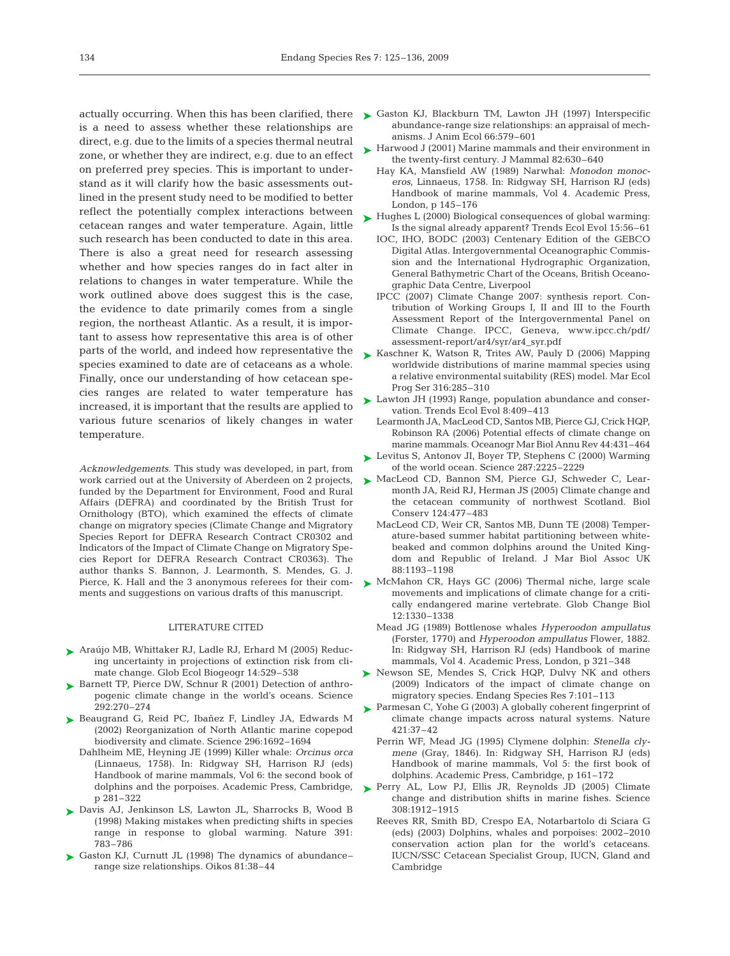is a need to assess whether these relationships are direct, e.g. due to the limits of a species thermal neutral zone, or whether they are indirect, e.g. due to an effect on preferred prey species. This is important to understand as it will clarify how the basic assessments outlined in the present study need to be modified to better reflect the potentially complex interactions between cetacean ranges and water temperature. Again, little such research has been conducted to date in this area. There is also a great need for research assessing whether and how species ranges do in fact alter in relations to changes in water temperature. While the work outlined above does suggest this is the case, the evidence to date primarily comes from a single region, the northeast Atlantic. As a result, it is important to assess how representative this area is of other parts of the world, and indeed how representative the species examined to date are of cetaceans as a whole. Finally, once our understanding of how cetacean species ranges are related to water temperature has increased, it is important that the results are applied to various future scenarios of likely changes in water temperature.

*Acknowledgements.* This study was developed, in part, from work carried out at the University of Aberdeen on 2 projects, funded by the Department for Environment, Food and Rural Affairs (DEFRA) and coordinated by the British Trust for Ornithology (BTO), which examined the effects of climate change on migratory species (Climate Change and Migratory Species Report for DEFRA Research Contract CR0302 and Indicators of the Impact of Climate Change on Migratory Species Report for DEFRA Research Contract CR0363). The author thanks S. Bannon, J. Learmonth, S. Mendes, G. J. Pierce, K. Hall and the 3 anonymous referees for their comments and suggestions on various drafts of this manuscript.

#### LITERATURE CITED

- Araújo MB, Whittaker RJ, Ladle RJ, Erhard M (2005) Reduc-➤ ing uncertainty in projections of extinction risk from climate change. Glob Ecol Biogeogr 14:529–538
- ▶ Barnett TP, Pierce DW, Schnur R (2001) Detection of anthropogenic climate change in the world's oceans. Science 292:270–274
- Beaugrand G, Reid PC, Ibañez F, Lindley JA, Edwards M ➤ (2002) Reorganization of North Atlantic marine copepod biodiversity and climate. Science 296:1692–1694
	- Dahlheim ME, Heyning JE (1999) Killer whale: *Orcinus orca* (Linnaeus, 1758). In: Ridgway SH, Harrison RJ (eds) Handbook of marine mammals, Vol 6: the second book of p 281–322
- ▶ Davis AJ, Jenkinson LS, Lawton JL, Sharrocks B, Wood B (1998) Making mistakes when predicting shifts in species range in response to global warming. Nature 391: 783–786
- ► Gaston KJ, Curnutt JL (1998) The dynamics of abundance range size relationships. Oikos 81:38–44
- actually occurring. When this has been clarified, there  $\quadblacktriangleright$  Gaston KJ, Blackburn TM, Lawton JH (1997) Interspecific abundance-range size relationships: an appraisal of mechanisms. J Anim Ecol 66:579–601
	- ► Harwood J (2001) Marine mammals and their environment in the twenty-first century. J Mammal 82:630–640
		- Hay KA, Mansfield AW (1989) Narwhal: *Monodon monoceros*, Linnaeus, 1758. In: Ridgway SH, Harrison RJ (eds) Handbook of marine mammals, Vol 4. Academic Press, London, p 145–176
	- ► Hughes L (2000) Biological consequences of global warming: Is the signal already apparent? Trends Ecol Evol 15:56–61
		- IOC, IHO, BODC (2003) Centenary Edition of the GEBCO Digital Atlas. Intergovernmental Oceanographic Commission and the International Hydrographic Organization, General Bathymetric Chart of the Oceans, British Oceanographic Data Centre, Liverpool
		- IPCC (2007) Climate Change 2007: synthesis report. Contribution of Working Groups I, II and III to the Fourth Assessment Report of the Intergovernmental Panel on Climate Change. IPCC, Geneva, www.ipcc.ch/pdf/ assessment-report/ar4/syr/ar4\_syr.pdf
	- ► Kaschner K, Watson R, Trites AW, Pauly D (2006) Mapping worldwide distributions of marine mammal species using a relative environmental suitability (RES) model. Mar Ecol Prog Ser 316:285–310
	- ► Lawton JH (1993) Range, population abundance and conservation. Trends Ecol Evol 8:409–413
		- Learmonth JA, MacLeod CD, Santos MB, Pierce GJ, Crick HQP, Robinson RA (2006) Potential effects of climate change on marine mammals. Oceanogr Mar Biol Annu Rev 44:431–464
	- ► Levitus S, Antonov JI, Boyer TP, Stephens C (2000) Warming of the world ocean. Science 287:2225–2229
	- ► MacLeod CD, Bannon SM, Pierce GJ, Schweder C, Learmonth JA, Reid RJ, Herman JS (2005) Climate change and the cetacean community of northwest Scotland. Biol Conserv 124:477–483
		- MacLeod CD, Weir CR, Santos MB, Dunn TE (2008) Temperature-based summer habitat partitioning between whitebeaked and common dolphins around the United Kingdom and Republic of Ireland. J Mar Biol Assoc UK 88:1193–1198
	- ▶ McMahon CR, Hays GC (2006) Thermal niche, large scale movements and implications of climate change for a critically endangered marine vertebrate. Glob Change Biol 12:1330–1338
		- Mead JG (1989) Bottlenose whales *Hyperoodon ampullatus* (Forster, 1770) and *Hyperoodon ampullatus* Flower, 1882. In: Ridgway SH, Harrison RJ (eds) Handbook of marine mammals, Vol 4. Academic Press, London, p 321–348
	- ▶ Newson SE, Mendes S, Crick HQP, Dulvy NK and others (2009) Indicators of the impact of climate change on migratory species. Endang Species Res 7:101–113
	- ▶ Parmesan C, Yohe G (2003) A globally coherent fingerprint of climate change impacts across natural systems. Nature 421:37–42
		- Perrin WF, Mead JG (1995) Clymene dolphin: *Stenella clymene* (Gray, 1846). In: Ridgway SH, Harrison RJ (eds) Handbook of marine mammals, Vol 5: the first book of dolphins. Academic Press, Cambridge, p 161–172
	- dolphins and the porpoises. Academic Press, Cambridge, Perry AL, Low PJ, Ellis JR, Reynolds JD (2005) Climate ➤ change and distribution shifts in marine fishes. Science 308:1912–1915
		- Reeves RR, Smith BD, Crespo EA, Notarbartolo di Sciara G (eds) (2003) Dolphins, whales and porpoises: 2002–2010 conservation action plan for the world's cetaceans. IUCN/SSC Cetacean Specialist Group, IUCN, Gland and Cambridge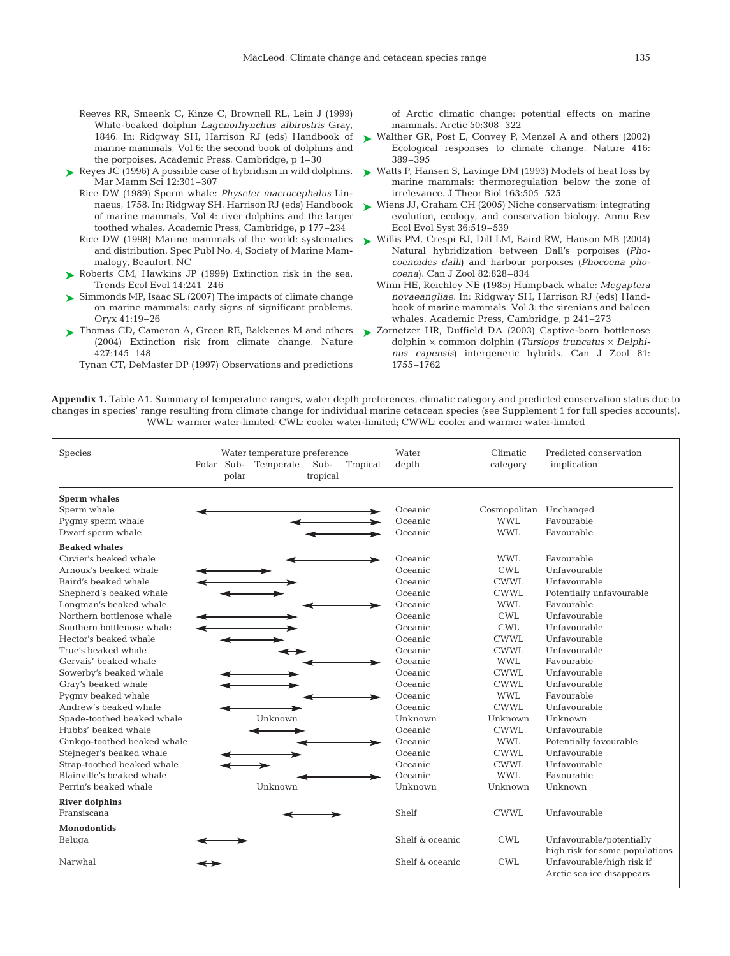► Reyes JC (1996) A possible case of hybridism in wild dolphins. Mar Mamm Sci 12:301–307

Rice DW (1989) Sperm whale: *Physeter macrocephalus* Linnaeus, 1758. In: Ridgway SH, Harrison RJ (eds) Handbook of marine mammals, Vol 4: river dolphins and the larger toothed whales. Academic Press, Cambridge, p 177–234

- and distribution. Spec Publ No. 4, Society of Marine Mammalogy, Beaufort, NC
- ▶ Roberts CM, Hawkins JP (1999) Extinction risk in the sea. Trends Ecol Evol 14:241–246
- ► Simmonds MP, Isaac SL (2007) The impacts of climate change on marine mammals: early signs of significant problems. Oryx 41:19–26
- Thomas CD, Cameron A, Green RE, Bakkenes M and others ➤ (2004) Extinction risk from climate change. Nature 427:145–148

of Arctic climatic change: potential effects on marine mammals. Arctic 50:308–322

- ► Walther GR, Post E, Convey P, Menzel A and others (2002) Ecological responses to climate change. Nature 416: 389–395
- Watts P, Hansen S, Lavinge DM (1993) Models of heat loss by marine mammals: thermoregulation below the zone of irrelevance. J Theor Biol 163:505–525 ➤
- ► Wiens JJ, Graham CH (2005) Niche conservatism: integrating evolution, ecology, and conservation biology. Annu Rev Ecol Evol Syst 36:519–539
- Rice DW (1998) Marine mammals of the world: systematics  $\triangleright$  Willis PM, Crespi BJ, Dill LM, Baird RW, Hanson MB (2004) Natural hybridization between Dall's porpoises (*Phocoenoides dalli*) and harbour porpoises (*Phocoena phocoena*). Can J Zool 82:828–834
	- Winn HE, Reichley NE (1985) Humpback whale: *Megaptera novaeangliae*. In: Ridgway SH, Harrison RJ (eds) Handbook of marine mammals. Vol 3: the sirenians and baleen whales. Academic Press, Cambridge, p 241–273
	- ► Zornetzer HR, Duffield DA (2003) Captive-born bottlenose dolphin × common dolphin (*Tursiops truncatus* × *Delphinus capensis*) intergeneric hybrids. Can J Zool 81: 1755–1762

**Appendix 1.** Table A1. Summary of temperature ranges, water depth preferences, climatic category and predicted conservation status due to changes in species' range resulting from climate change for individual marine cetacean species (see Supplement 1 for full species accounts). WWL: warmer water-limited; CWL: cooler water-limited; CWWL: cooler and warmer water-limited

| Species                     | Water temperature preference<br>Polar Sub-<br>Temperate<br>polar | Sub-<br>Tropical<br>tropical | Water<br>depth  | Climatic<br>category | Predicted conservation<br>implication |
|-----------------------------|------------------------------------------------------------------|------------------------------|-----------------|----------------------|---------------------------------------|
| <b>Sperm whales</b>         |                                                                  |                              |                 |                      |                                       |
| Sperm whale                 |                                                                  |                              | Oceanic         | Cosmopolitan         | Unchanged                             |
| Pygmy sperm whale           |                                                                  |                              | Oceanic         | <b>WWL</b>           | Favourable                            |
| Dwarf sperm whale           |                                                                  |                              | Oceanic         | WWL.                 | Favourable                            |
| <b>Beaked whales</b>        |                                                                  |                              |                 |                      |                                       |
| Cuvier's beaked whale       |                                                                  |                              | Oceanic         | <b>WWL</b>           | Favourable                            |
| Arnoux's beaked whale       |                                                                  |                              | Oceanic         | <b>CWL</b>           | Unfavourable                          |
| Baird's beaked whale        |                                                                  |                              | Oceanic         | CWWL                 | Unfavourable                          |
| Shepherd's beaked whale     |                                                                  |                              | Oceanic         | <b>CWWL</b>          | Potentially unfavourable              |
| Longman's beaked whale      |                                                                  |                              | Oceanic         | WWL.                 | Favourable                            |
| Northern bottlenose whale   |                                                                  |                              | Oceanic         | CWL                  | Unfavourable                          |
| Southern bottlenose whale   |                                                                  |                              | Oceanic         | <b>CWL</b>           | Unfavourable                          |
| Hector's beaked whale       |                                                                  |                              | Oceanic         | <b>CWWL</b>          | Unfavourable                          |
| True's beaked whale         |                                                                  |                              | Oceanic         | CWWL                 | Unfavourable                          |
| Gervais' beaked whale       |                                                                  |                              | Oceanic         | WWL.                 | Favourable                            |
| Sowerby's beaked whale      |                                                                  |                              | Oceanic         | CWWL.                | Unfavourable                          |
| Gray's beaked whale         |                                                                  |                              | Oceanic         | CWWL.                | Unfavourable                          |
| Pygmy beaked whale          |                                                                  |                              | Oceanic         | WWL.                 | Favourable                            |
| Andrew's beaked whale       |                                                                  |                              | Oceanic         | CWWL                 | Unfavourable                          |
| Spade-toothed beaked whale  | Unknown                                                          |                              | Unknown         | Unknown              | Unknown                               |
| Hubbs' beaked whale         |                                                                  |                              | Oceanic         | CWWL                 | Unfavourable                          |
| Ginkgo-toothed beaked whale |                                                                  |                              | Oceanic         | <b>WWL</b>           | Potentially favourable                |
| Stejneger's beaked whale    |                                                                  |                              | Oceanic         | <b>CWWL</b>          | Unfavourable                          |
| Strap-toothed beaked whale  |                                                                  |                              | Oceanic         | CWWL                 | Unfavourable                          |
| Blainville's beaked whale   |                                                                  |                              | Oceanic         | WWL.                 | Favourable                            |
| Perrin's beaked whale       | Unknown                                                          |                              | Unknown         | Unknown              | Unknown                               |
| <b>River dolphins</b>       |                                                                  |                              |                 |                      |                                       |
| Fransiscana                 |                                                                  |                              | Shelf           | <b>CWWL</b>          | Unfavourable                          |
| <b>Monodontids</b>          |                                                                  |                              |                 |                      |                                       |
| Beluga                      |                                                                  |                              | Shelf & oceanic | <b>CWL</b>           | Unfavourable/potentially              |
|                             |                                                                  |                              |                 |                      | high risk for some populations        |
| Narwhal                     |                                                                  |                              | Shelf & oceanic | <b>CWL</b>           | Unfavourable/high risk if             |
|                             |                                                                  |                              |                 |                      | Arctic sea ice disappears             |

Tynan CT, DeMaster DP (1997) Observations and predictions